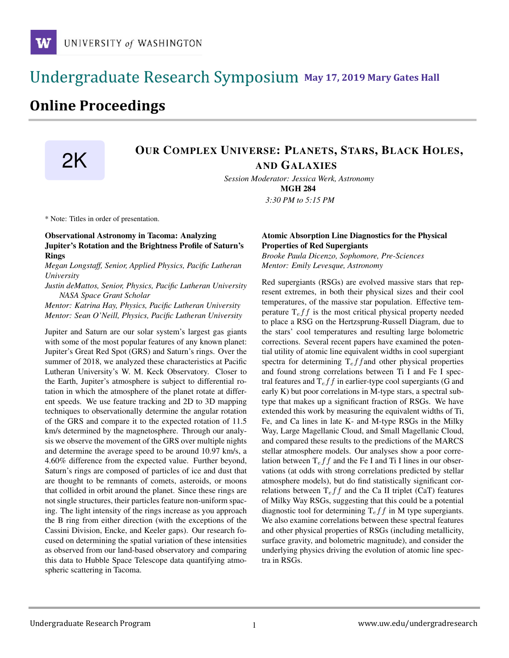# **May 17, 2019 Mary Gates Hall** Ĭ

# **Online Proceedings**

# OUR COMPLEX UNIVERSE: PLANETS, STARS, BLACK HOLES, AND GALAXIES

*Session Moderator: Jessica Werk, Astronomy* MGH 284

*3:30 PM to 5:15 PM*

\* Note: Titles in order of presentation.

## Observational Astronomy in Tacoma: Analyzing Jupiter's Rotation and the Brightness Profile of Saturn's Rings

*Megan Longstaff, Senior, Applied Physics, Pacific Lutheran University*

*Justin deMattos, Senior, Physics, Pacific Lutheran University NASA Space Grant Scholar*

*Mentor: Katrina Hay, Physics, Pacific Lutheran University Mentor: Sean O'Neill, Physics, Pacific Lutheran University*

Jupiter and Saturn are our solar system's largest gas giants with some of the most popular features of any known planet: Jupiter's Great Red Spot (GRS) and Saturn's rings. Over the summer of 2018, we analyzed these characteristics at Pacific Lutheran University's W. M. Keck Observatory. Closer to the Earth, Jupiter's atmosphere is subject to differential rotation in which the atmosphere of the planet rotate at different speeds. We use feature tracking and 2D to 3D mapping techniques to observationally determine the angular rotation of the GRS and compare it to the expected rotation of 11.5 km/s determined by the magnetosphere. Through our analysis we observe the movement of the GRS over multiple nights and determine the average speed to be around 10.97 km/s, a 4.60% difference from the expected value. Further beyond, Saturn's rings are composed of particles of ice and dust that are thought to be remnants of comets, asteroids, or moons that collided in orbit around the planet. Since these rings are not single structures, their particles feature non-uniform spacing. The light intensity of the rings increase as you approach the B ring from either direction (with the exceptions of the Cassini Division, Encke, and Keeler gaps). Our research focused on determining the spatial variation of these intensities as observed from our land-based observatory and comparing this data to Hubble Space Telescope data quantifying atmospheric scattering in Tacoma.

## Atomic Absorption Line Diagnostics for the Physical Properties of Red Supergiants

*Brooke Paula Dicenzo, Sophomore, Pre-Sciences Mentor: Emily Levesque, Astronomy*

Red supergiants (RSGs) are evolved massive stars that represent extremes, in both their physical sizes and their cool temperatures, of the massive star population. Effective temperature  $T_{\text{e}} f f$  is the most critical physical property needed to place a RSG on the Hertzsprung-Russell Diagram, due to the stars' cool temperatures and resulting large bolometric corrections. Several recent papers have examined the potential utility of atomic line equivalent widths in cool supergiant spectra for determining  $T_{\rm e}f f$  and other physical properties and found strong correlations between Ti I and Fe I spectral features and  $T_{ef}f$  in earlier-type cool supergiants (G and early K) but poor correlations in M-type stars, a spectral subtype that makes up a significant fraction of RSGs. We have extended this work by measuring the equivalent widths of Ti, Fe, and Ca lines in late K- and M-type RSGs in the Milky Way, Large Magellanic Cloud, and Small Magellanic Cloud, and compared these results to the predictions of the MARCS stellar atmosphere models. Our analyses show a poor correlation between  $T_{eff}$  and the Fe I and Ti I lines in our observations (at odds with strong correlations predicted by stellar atmosphere models), but do find statistically significant correlations between  $T_{\text{e}} f f$  and the Ca II triplet (CaT) features of Milky Way RSGs, suggesting that this could be a potential diagnostic tool for determining  $T_{\text{e}} f f$  in M type supergiants. We also examine correlations between these spectral features and other physical properties of RSGs (including metallicity, surface gravity, and bolometric magnitude), and consider the underlying physics driving the evolution of atomic line spectra in RSGs.